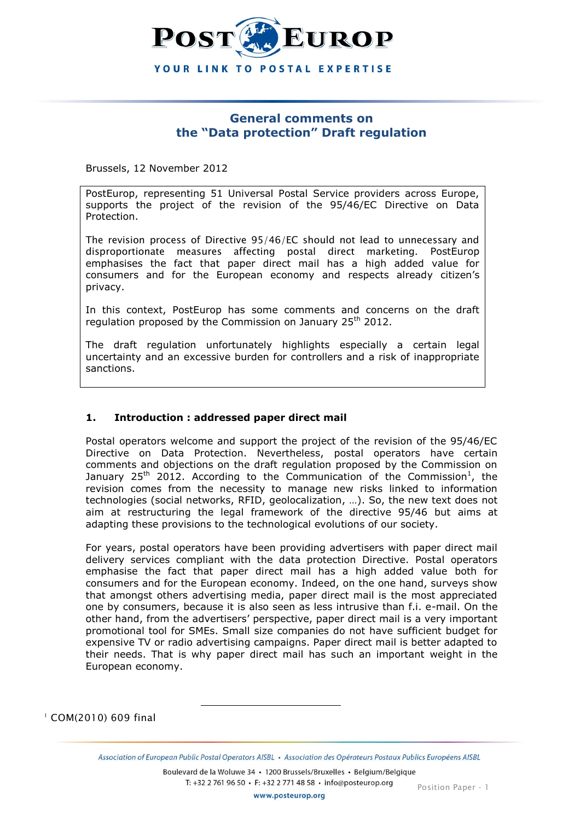

# **General comments on the "Data protection" Draft regulation**

Brussels, 12 November 2012

PostEurop, representing 51 Universal Postal Service providers across Europe, supports the project of the revision of the 95/46/EC Directive on Data Protection.

The revision process of Directive 95/46/EC should not lead to unnecessary and disproportionate measures affecting postal direct marketing. PostEurop emphasises the fact that paper direct mail has a high added value for consumers and for the European economy and respects already citizen's privacy.

In this context, PostEurop has some comments and concerns on the draft regulation proposed by the Commission on January  $25<sup>th</sup> 2012$ .

The draft regulation unfortunately highlights especially a certain legal uncertainty and an excessive burden for controllers and a risk of inappropriate sanctions.

## **1. Introduction : addressed paper direct mail**

l

Postal operators welcome and support the project of the revision of the 95/46/EC Directive on Data Protection. Nevertheless, postal operators have certain comments and objections on the draft regulation proposed by the Commission on January 25<sup>th</sup> 2012. According to the Communication of the Commission<sup>1</sup>, the revision comes from the necessity to manage new risks linked to information technologies (social networks, RFID, geolocalization, …). So, the new text does not aim at restructuring the legal framework of the directive 95/46 but aims at adapting these provisions to the technological evolutions of our society.

For years, postal operators have been providing advertisers with paper direct mail delivery services compliant with the data protection Directive. Postal operators emphasise the fact that paper direct mail has a high added value both for consumers and for the European economy. Indeed, on the one hand, surveys show that amongst others advertising media, paper direct mail is the most appreciated one by consumers, because it is also seen as less intrusive than f.i. e-mail. On the other hand, from the advertisers' perspective, paper direct mail is a very important promotional tool for SMEs. Small size companies do not have sufficient budget for expensive TV or radio advertising campaigns. Paper direct mail is better adapted to their needs. That is why paper direct mail has such an important weight in the European economy.

<sup>1</sup> COM(2010) 609 final

Boulevard de la Woluwe 34 · 1200 Brussels/Bruxelles · Belgium/Belgique

T: +32 2 761 96 50 · F: +32 2 771 48 58 · info@posteurop.org

www.posteurop.org

Association of European Public Postal Operators AISBL · Association des Opérateurs Postaux Publics Européens AISBL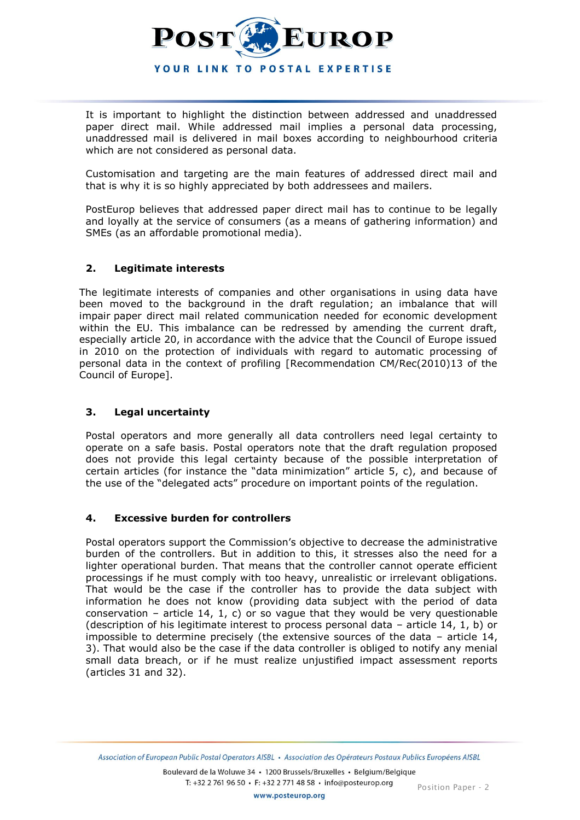

It is important to highlight the distinction between addressed and unaddressed paper direct mail. While addressed mail implies a personal data processing, unaddressed mail is delivered in mail boxes according to neighbourhood criteria which are not considered as personal data.

Customisation and targeting are the main features of addressed direct mail and that is why it is so highly appreciated by both addressees and mailers.

PostEurop believes that addressed paper direct mail has to continue to be legally and loyally at the service of consumers (as a means of gathering information) and SMEs (as an affordable promotional media).

## **2. Legitimate interests**

The legitimate interests of companies and other organisations in using data have been moved to the background in the draft regulation; an imbalance that will impair paper direct mail related communication needed for economic development within the EU. This imbalance can be redressed by amending the current draft, especially article 20, in accordance with the advice that the Council of Europe issued in 2010 on the protection of individuals with regard to automatic processing of personal data in the context of profiling [Recommendation CM/Rec(2010)13 of the Council of Europe].

## **3. Legal uncertainty**

Postal operators and more generally all data controllers need legal certainty to operate on a safe basis. Postal operators note that the draft regulation proposed does not provide this legal certainty because of the possible interpretation of certain articles (for instance the "data minimization" article 5, c), and because of the use of the "delegated acts" procedure on important points of the regulation.

## **4. Excessive burden for controllers**

Postal operators support the Commission's objective to decrease the administrative burden of the controllers. But in addition to this, it stresses also the need for a lighter operational burden. That means that the controller cannot operate efficient processings if he must comply with too heavy, unrealistic or irrelevant obligations. That would be the case if the controller has to provide the data subject with information he does not know (providing data subject with the period of data conservation – article 14, 1, c) or so vague that they would be very questionable (description of his legitimate interest to process personal data – article 14, 1, b) or impossible to determine precisely (the extensive sources of the data – article 14, 3). That would also be the case if the data controller is obliged to notify any menial small data breach, or if he must realize unjustified impact assessment reports (articles 31 and 32).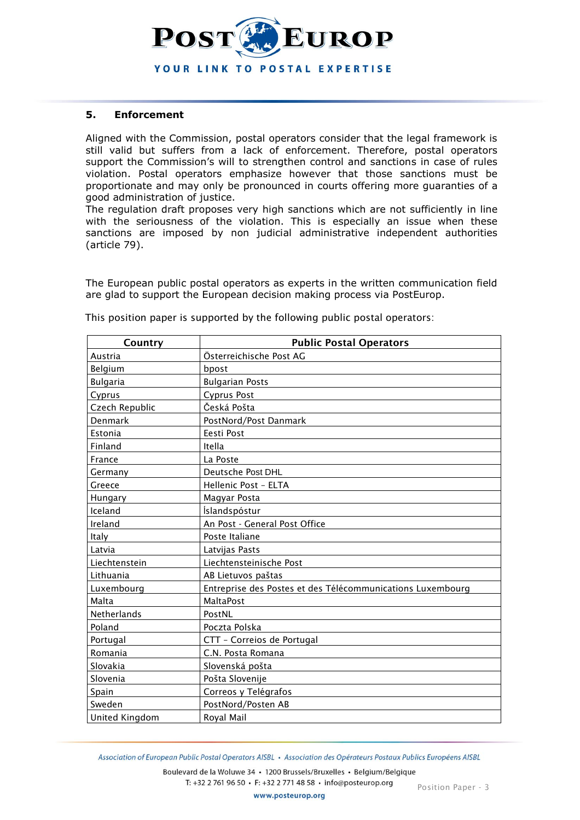

## **5. Enforcement**

Aligned with the Commission, postal operators consider that the legal framework is still valid but suffers from a lack of enforcement. Therefore, postal operators support the Commission's will to strengthen control and sanctions in case of rules violation. Postal operators emphasize however that those sanctions must be proportionate and may only be pronounced in courts offering more guaranties of a good administration of justice.

The regulation draft proposes very high sanctions which are not sufficiently in line with the seriousness of the violation. This is especially an issue when these sanctions are imposed by non judicial administrative independent authorities (article 79).

The European public postal operators as experts in the written communication field are glad to support the European decision making process via PostEurop.

| Country         | <b>Public Postal Operators</b>                             |
|-----------------|------------------------------------------------------------|
| Austria         | Österreichische Post AG                                    |
| Belgium         | bpost                                                      |
| <b>Bulgaria</b> | <b>Bulgarian Posts</b>                                     |
| Cyprus          | <b>Cyprus Post</b>                                         |
| Czech Republic  | Česká Pošta                                                |
| Denmark         | PostNord/Post Danmark                                      |
| Estonia         | Eesti Post                                                 |
| Finland         | Itella                                                     |
| France          | La Poste                                                   |
| Germany         | Deutsche Post DHL                                          |
| Greece          | Hellenic Post - ELTA                                       |
| Hungary         | Magyar Posta                                               |
| Iceland         | Íslandspóstur                                              |
| Ireland         | An Post - General Post Office                              |
| Italy           | Poste Italiane                                             |
| Latvia          | Latvijas Pasts                                             |
| Liechtenstein   | Liechtensteinische Post                                    |
| Lithuania       | AB Lietuvos paštas                                         |
| Luxembourg      | Entreprise des Postes et des Télécommunications Luxembourg |
| Malta           | <b>MaltaPost</b>                                           |
| Netherlands     | PostNL                                                     |
| Poland          | Poczta Polska                                              |
| Portugal        | CTT - Correios de Portugal                                 |
| Romania         | C.N. Posta Romana                                          |
| Slovakia        | Slovenská pošta                                            |
| Slovenia        | Pošta Slovenije                                            |
| Spain           | Correos y Telégrafos                                       |
| Sweden          | PostNord/Posten AB                                         |
| United Kingdom  | Royal Mail                                                 |

This position paper is supported by the following public postal operators:

Association of European Public Postal Operators AISBL · Association des Opérateurs Postaux Publics Européens AISBL

Boulevard de la Woluwe 34 · 1200 Brussels/Bruxelles · Belgium/Belgique T: +32 2 761 96 50 · F: +32 2 771 48 58 · info@posteurop.org

www.posteurop.org